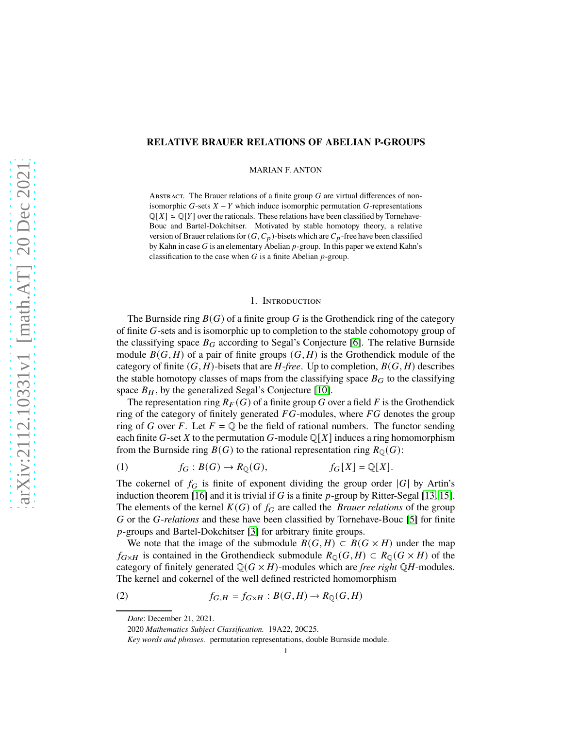## **RELATIVE BRAUER RELATIONS OF ABELIAN P-GROUPS**

MARIAN F. ANTON

ABSTRACT. The Brauer relations of a finite group  $G$  are virtual differences of nonisomorphic  $G$ -sets  $X - Y$  which induce isomorphic permutation  $G$ -representations  $\mathbb{Q}[X] \simeq \mathbb{Q}[Y]$  over the rationals. These relations have been classified by Tornehave-Bouc and Bartel-Dokchitser. Motivated by stable homotopy theory, a relative version of Brauer relations for  $(G, C_p)$ -bisets which are  $C_p$ -free have been classified by Kahn in case  $G$  is an elementary Abelian  $p$ -group. In this paper we extend Kahn's classification to the case when  $G$  is a finite Abelian  $p$ -group.

### 1. Introduction

The Burnside ring  $B(G)$  of a finite group G is the Grothendick ring of the category of finite G-sets and is isomorphic up to completion to the stable cohomotopy group of the classifying space  $B_G$  according to Segal's Conjecture [\[6\]](#page-16-0). The relative Burnside module  $B(G, H)$  of a pair of finite groups  $(G, H)$  is the Grothendick module of the category of finite  $(G, H)$ -bisets that are  $H$ -*free*. Up to completion,  $B(G, H)$  describes the stable homotopy classes of maps from the classifying space  $B_G$  to the classifying space  $B_H$ , by the generalized Segal's Conjecture [\[10\]](#page-16-1).

The representation ring  $R_F(G)$  of a finite group G over a field F is the Grothendick ring of the category of finitely generated  $FG$ -modules, where  $FG$  denotes the group ring of G over F. Let  $F = \mathbb{Q}$  be the field of rational numbers. The functor sending each finite G-set X to the permutation G-module  $\mathbb{Q}[X]$  induces a ring homomorphism from the Burnside ring  $B(G)$  to the rational representation ring  $R_{\mathbb{Q}}(G)$ :

(1) 
$$
f_G: B(G) \to R_{\mathbb{Q}}(G),
$$
  $f_G[X] = \mathbb{Q}[X].$ 

The cokernel of  $f_G$  is finite of exponent dividing the group order |G| by Artin's induction theorem [\[16\]](#page-16-2) and it is trivial if  $G$  is a finite  $p$ -group by Ritter-Segal [\[13,](#page-16-3) [15\]](#page-16-4). The elements of the kernel  $K(G)$  of  $f_G$  are called the *Brauer relations* of the group G or the G-*relations* and these have been classified by Tornehave-Bouc [\[5\]](#page-16-5) for finite p-groups and Bartel-Dokchitser [\[3\]](#page-15-0) for arbitrary finite groups.

We note that the image of the submodule  $B(G, H) \subset B(G \times H)$  under the map  $f_{G\times H}$  is contained in the Grothendieck submodule  $R_{\mathbb{Q}}(G,H) \subset R_{\mathbb{Q}}(G\times H)$  of the category of finitely generated  $\mathbb{Q}(G \times H)$ -modules which are *free right*  $\mathbb{Q}H$ -modules. The kernel and cokernel of the well defined restricted homomorphism

<span id="page-0-0"></span>(2) 
$$
f_{G,H} = f_{G \times H} : B(G,H) \to R_{\mathbb{Q}}(G,H)
$$

*Date*: December 21, 2021.

<sup>2020</sup> *Mathematics Subject Classification.* 19A22, 20C25.

*Key words and phrases.* permutation representations, double Burnside module.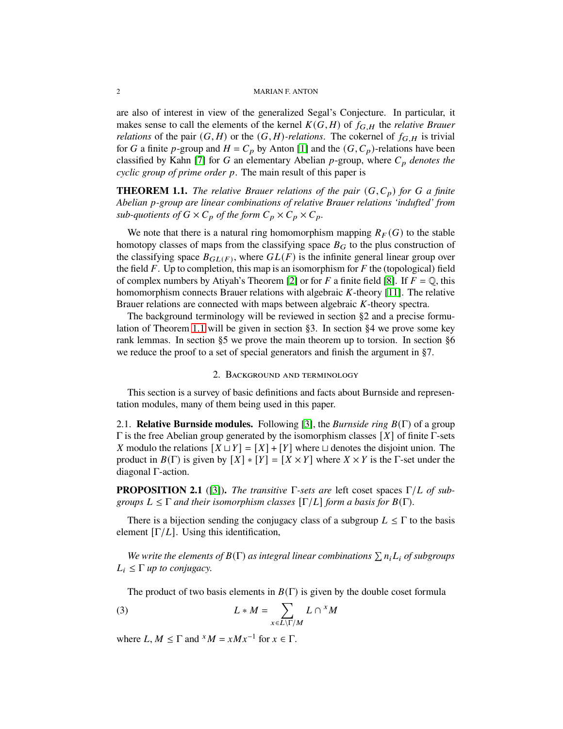### 2 MARIAN F. ANTON

are also of interest in view of the generalized Segal's Conjecture. In particular, it makes sense to call the elements of the kernel  $K(G, H)$  of  $f_{G,H}$  the *relative Brauer relations* of the pair  $(G, H)$  or the  $(G, H)$ *-relations*. The cokernel of  $f_{G,H}$  is trivial for G a finite p-group and  $H = C_p$  by Anton [\[1\]](#page-15-1) and the  $(G, C_p)$ -relations have been classified by Kahn [\[7\]](#page-16-6) for G an elementary Abelian  $p$ -group, where  $C_p$  denotes the *cyclic group of prime order p.* The main result of this paper is

<span id="page-1-0"></span>**THEOREM 1.1.** *The relative Brauer relations of the pair*  $(G, C_p)$  *for* G a finite *Abelian* 𝑝*-group are linear combinations of relative Brauer relations 'indufted' from sub-quotients of*  $G \times C_p$  *of the form*  $C_p \times C_p \times C_p$ *.* 

We note that there is a natural ring homomorphism mapping  $R_F(G)$  to the stable homotopy classes of maps from the classifying space  $B_G$  to the plus construction of the classifying space  $B_{GL(F)}$ , where  $GL(F)$  is the infinite general linear group over the field  $F$ . Up to completion, this map is an isomorphism for  $F$  the (topological) field of complex numbers by Atiyah's Theorem [\[2\]](#page-15-2) or for F a finite field [\[8\]](#page-16-7). If  $F = \mathbb{Q}$ , this homomorphism connects Brauer relations with algebraic  $K$ -theory [\[11\]](#page-16-8). The relative Brauer relations are connected with maps between algebraic  $K$ -theory spectra.

The background terminology will be reviewed in section §2 and a precise formulation of Theorem [1.1](#page-1-0) will be given in section §3. In section §4 we prove some key rank lemmas. In section §5 we prove the main theorem up to torsion. In section §6 we reduce the proof to a set of special generators and finish the argument in §7.

## 2. Background and terminology

This section is a survey of basic definitions and facts about Burnside and representation modules, many of them being used in this paper.

2.1. **Relative Burnside modules.** Following [\[3\]](#page-15-0), the *Burnside ring B*(Γ) of a group  $Γ$  is the free Abelian group generated by the isomorphism classes  $[X]$  of finite Γ-sets X modulo the relations  $[X \cup Y] = [X] + [Y]$  where  $\cup$  denotes the disjoint union. The product in  $B(\Gamma)$  is given by  $[X] * [Y] = [X \times Y]$  where  $X \times Y$  is the  $\Gamma$ -set under the diagonal Γ-action.

<span id="page-1-1"></span>**PROPOSITION 2.1** ([\[3\]](#page-15-0)). *The transitive*  $\Gamma$ -sets are left coset spaces  $\Gamma/L$  of sub*groups*  $L \leq \Gamma$  *and their isomorphism classes*  $[\Gamma/L]$  *form a basis for*  $B(\Gamma)$ *.* 

There is a bijection sending the conjugacy class of a subgroup  $L \leq \Gamma$  to the basis element  $[\Gamma/L]$ . Using this identification,

We write the elements of  $B(\Gamma)$  as integral linear combinations  $\sum n_i L_i$  of subgroups  $L_i \leq \Gamma$  *up to conjugacy.* 

The product of two basis elements in  $B(\Gamma)$  is given by the double coset formula

(3) 
$$
L * M = \sum_{x \in L \setminus \Gamma/M} L \cap {}^{x}M
$$

where  $L, M \leq \Gamma$  and  $^{x}M = xMx^{-1}$  for  $x \in \Gamma$ .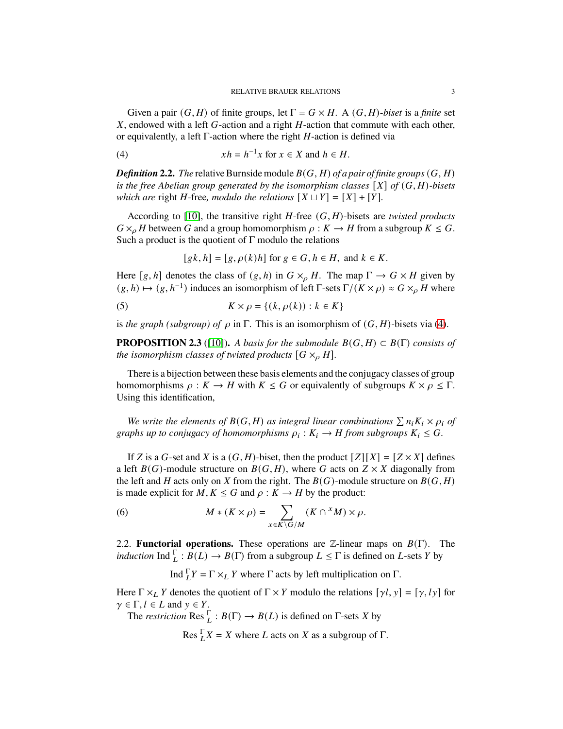Given a pair  $(G, H)$  of finite groups, let  $\Gamma = G \times H$ . A  $(G, H)$ -*biset* is a *finite* set  $X$ , endowed with a left  $G$ -action and a right  $H$ -action that commute with each other, or equivalently, a left  $\Gamma$ -action where the right  $H$ -action is defined via

<span id="page-2-0"></span>(4) 
$$
xh = h^{-1}x \text{ for } x \in X \text{ and } h \in H.
$$

*Definition* **2.2.** *The* relative Burnside module  $B(G, H)$  *of a pair of finite groups*  $(G, H)$ *is the free Abelian group generated by the isomorphism classes*  $[X]$  *of*  $(G, H)$ *-bisets which are* right *H*-free*, modulo the relations*  $[X \cup Y] = [X] + [Y]$ *.* 

According to  $[10]$ , the transitive right  $H$ -free  $(G, H)$ -bisets are *twisted products*  $G \times_{\Omega} H$  between G and a group homomorphism  $\rho : K \to H$  from a subgroup  $K \leq G$ . Such a product is the quotient of  $\Gamma$  modulo the relations

 $[gk, h] = [g, \rho(k)h]$  for  $g \in G, h \in H$ , and  $k \in K$ .

Here [g, h] denotes the class of  $(g, h)$  in  $G \times_{\rho} H$ . The map  $\Gamma \to G \times H$  given by  $(g, h) \mapsto (g, h^{-1})$  induces an isomorphism of left Γ-sets  $\Gamma/(K \times \rho) \approx G \times_{\rho} H$  where

<span id="page-2-2"></span>(5) 
$$
K \times \rho = \{(k, \rho(k)) : k \in K\}
$$

is *the graph (subgroup) of*  $\rho$  in Γ. This is an isomorphism of  $(G, H)$ -bisets via [\(4\)](#page-2-0).

<span id="page-2-1"></span>**PROPOSITION 2.3** ([\[10\]](#page-16-1)). *A basis for the submodule*  $B(G, H) \subset B(\Gamma)$  *consists of the isomorphism classes of twisted products*  $[G \times_{\rho} H]$ *.* 

There is a bijection between these basis elements and the conjugacy classes of group homomorphisms  $\rho : K \to H$  with  $K \leq G$  or equivalently of subgroups  $K \times \rho \leq \Gamma$ . Using this identification,

We write the elements of  $B(G,H)$  as integral linear combinations  $\sum n_i K_i \times \rho_i$  of *graphs up to conjugacy of homomorphisms*  $\rho_i : K_i \to H$  *from subgroups*  $K_i \leq G$ .

If Z is a G-set and X is a  $(G, H)$ -biset, then the product  $[Z][X] = [Z \times X]$  defines a left  $B(G)$ -module structure on  $B(G, H)$ , where G acts on  $Z \times X$  diagonally from the left and H acts only on X from the right. The  $B(G)$ -module structure on  $B(G, H)$ is made explicit for  $M, K \leq G$  and  $\rho : K \to H$  by the product:

(6) 
$$
M * (K \times \rho) = \sum_{x \in K \backslash G/M} (K \cap {}^x M) \times \rho.
$$

2.2. **Functorial operations.** These operations are  $\mathbb{Z}$ -linear maps on  $B(\Gamma)$ . The *induction* Ind  $\Gamma_L : B(L) \to B(\Gamma)$  from a subgroup  $L \leq \Gamma$  is defined on L-sets Y by

Ind  $\prod_L Y = \Gamma \times_L Y$  where Γ acts by left multiplication on Γ.

Here  $\Gamma \times_L Y$  denotes the quotient of  $\Gamma \times Y$  modulo the relations  $[\gamma l, y] = [\gamma, l y]$  for  $\gamma \in \Gamma, l \in L$  and  $y \in Y$ .

The *restriction* Res  $_L^{\Gamma}$ :  $B(\Gamma) \rightarrow B(L)$  is defined on  $\Gamma$ -sets X by

Res  $\prod_{i=1}^{n} X = X$  where L acts on X as a subgroup of  $\Gamma$ .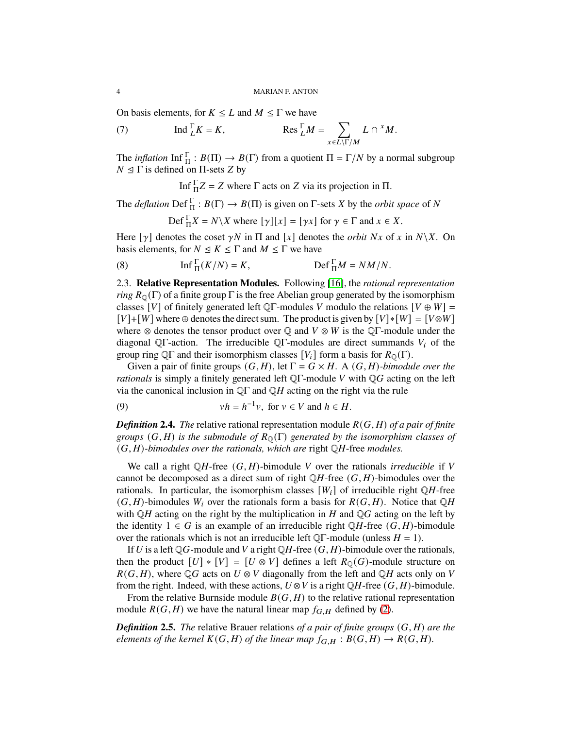On basis elements, for  $K \leq L$  and  $M \leq \Gamma$  we have

<span id="page-3-0"></span>(7) 
$$
\operatorname{Ind} \frac{\Gamma}{L} K = K, \qquad \qquad \operatorname{Res} \frac{\Gamma}{L} M = \sum_{x \in L \setminus \Gamma/M} L \cap {}^x M.
$$

The *inflation* Inf  $\Gamma_{\Pi}$ :  $B(\Pi) \to B(\Gamma)$  from a quotient  $\Pi = \Gamma/N$  by a normal subgroup  $N \leq \Gamma$  is defined on Π-sets Z by

Inf  ${}_{\Pi}^{\Gamma}Z = Z$  where  $\Gamma$  acts on  $Z$  via its projection in  $\Pi$ .

The *deflation*  $\text{Def}_{\Pi}^{\Gamma}: B(\Gamma) \to B(\Pi)$  is given on  $\Gamma$ -sets X by the *orbit space* of N

$$
\operatorname{Def}^{\Gamma}_{\Pi} X = N \backslash X \text{ where } [\gamma][x] = [\gamma x] \text{ for } \gamma \in \Gamma \text{ and } x \in X.
$$

Here  $[\gamma]$  denotes the coset  $\gamma N$  in  $\Pi$  and  $[x]$  denotes the *orbit*  $Nx$  of  $x$  in  $N\backslash X$ . On basis elements, for  $N \leq K \leq \Gamma$  and  $M \leq \Gamma$  we have

<span id="page-3-2"></span>(8) 
$$
\text{Inf}_{\Pi}^{\Gamma}(K/N) = K, \qquad \text{Def}_{\Pi}^{\Gamma}M = NM/N.
$$

2.3. **Relative Representation Modules.** Following [\[16\]](#page-16-2), the *rational representation ring*  $R_{\mathcal{O}}(\Gamma)$  of a finite group  $\Gamma$  is the free Abelian group generated by the isomorphism classes [V] of finitely generated left QΓ-modules V modulo the relations  $[V \oplus W]$  =  $[V]+[W]$  where ⊕ denotes the direct sum. The product is given by  $[V]*[W] = [V \otimes W]$ where  $\otimes$  denotes the tensor product over  $\mathbb Q$  and  $V \otimes W$  is the  $\mathbb Q\Gamma$ -module under the diagonal QΓ-action. The irreducible QΓ-modules are direct summands  $V_i$  of the group ring QΓ and their isomorphism classes  $[V_i]$  form a basis for  $R_{\mathbb{Q}}(\Gamma)$ .

Given a pair of finite groups  $(G, H)$ , let  $\Gamma = G \times H$ . A  $(G, H)$ *-bimodule over the rationals* is simply a finitely generated left QΓ-module V with QG acting on the left via the canonical inclusion in  $\mathbb{Q}\Gamma$  and  $\mathbb{Q}H$  acting on the right via the rule

(9) 
$$
vh = h^{-1}v, \text{ for } v \in V \text{ and } h \in H.
$$

*Definition* **2.4.** *The* relative rational representation module  $R(G, H)$  of a pair of finite *groups*  $(G, H)$  *is the submodule of*  $R_0(\Gamma)$  *generated by the isomorphism classes of*  $(G, H)$ -bimodules over the rationals, which are right  $\mathbb QH$ -free *modules*.

We call a right  $\mathbb{Q}H$ -free  $(G, H)$ -bimodule V over the rationals *irreducible* if V cannot be decomposed as a direct sum of right  $\mathbb{Q}H$ -free  $(G, H)$ -bimodules over the rationals. In particular, the isomorphism classes  $[W_i]$  of irreducible right  $\mathbb{Q}H$ -free  $(G, H)$ -bimodules  $W_i$  over the rationals form a basis for  $R(G, H)$ . Notice that  $\mathbb{Q}H$ with  $\mathbb{Q}H$  acting on the right by the multiplication in H and  $\mathbb{Q}G$  acting on the left by the identity  $1 \in G$  is an example of an irreducible right QH-free  $(G, H)$ -bimodule over the rationals which is not an irreducible left  $\mathbb{Q}\Gamma$ -module (unless  $H = 1$ ).

If U is a left QG-module and V a right QH-free  $(G, H)$ -bimodule over the rationals, then the product  $[U] * [V] = [U \otimes V]$  defines a left  $R_{\mathbb{Q}}(G)$ -module structure on  $R(G, H)$ , where QG acts on  $U \otimes V$  diagonally from the left and QH acts only on V from the right. Indeed, with these actions,  $U \otimes V$  is a right QH-free  $(G, H)$ -bimodule.

From the relative Burnside module  $B(G, H)$  to the relative rational representation module  $R(G, H)$  we have the natural linear map  $f_{G,H}$  defined by [\(2\)](#page-0-0).

<span id="page-3-1"></span>*Definition* **2.5.** *The* relative Brauer relations of a pair of finite groups  $(G, H)$  are the *elements of the kernel*  $K(G, H)$  *of the linear map*  $f_{G,H}: B(G, H) \to R(G, H)$ .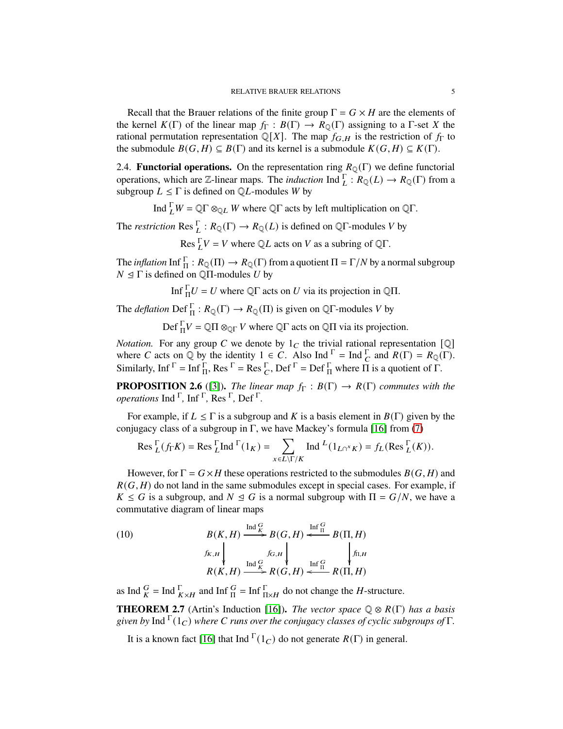Recall that the Brauer relations of the finite group  $\Gamma = G \times H$  are the elements of the kernel  $K(\Gamma)$  of the linear map  $f_{\Gamma}: B(\Gamma) \to R_{\mathbb{Q}}(\Gamma)$  assigning to a  $\Gamma$ -set X the rational permutation representation  $\mathbb{Q}[X]$ . The map  $f_{\mathbf{G},H}$  is the restriction of  $f_{\Gamma}$  to the submodule  $B(G, H) \subseteq B(\Gamma)$  and its kernel is a submodule  $K(G, H) \subseteq K(\Gamma)$ .

2.4. **Functorial operations.** On the representation ring  $R_{\text{O}}(\Gamma)$  we define functorial operations, which are Z-linear maps. The *induction* Ind  $\overline{L}: R_{\mathbb{Q}}(L) \to R_{\mathbb{Q}}(\Gamma)$  from a subgroup  $L \leq \Gamma$  is defined on QL-modules W by

Ind  $\prod_L W = \mathbb{Q} \Gamma \otimes_{\mathbb{Q} L} W$  where  $\mathbb{Q} \Gamma$  acts by left multiplication on  $\mathbb{Q} \Gamma$ .

The *restriction* Res  $_L^{\Gamma}$ :  $R_{\mathbb{Q}}(\Gamma) \to R_{\mathbb{Q}}(L)$  is defined on  $\mathbb{Q}\Gamma$ -modules V by

Res  $\Gamma_V = V$  where  $\mathbb{Q}L$  acts on V as a subring of  $\mathbb{Q}\Gamma$ .

The *inflation* Inf  $\frac{\Gamma}{\Pi}: R_{{\mathbb Q}}(\Pi) \to R_{{\mathbb Q}}(\Gamma)$  from a quotient  $\Pi = \Gamma/N$  by a normal subgroup  $N \trianglelefteq \Gamma$  is defined on Q $\Pi$ -modules U by

Inf  ${}_{\Pi}^{\Gamma}U = U$  where Q $\Gamma$  acts on U via its projection in Q $\Pi$ .

The *deflation*  $\text{Def}_{\Pi}^{\Gamma}: R_{\mathbb{Q}}(\Gamma) \to R_{\mathbb{Q}}(\Pi)$  is given on  $\mathbb{Q}\Gamma$ -modules V by

Def  $_{\Pi}^{\Gamma}V = \mathbb{Q}\Pi \otimes_{\mathbb{Q}\Gamma} V$  where  $\mathbb{Q}\Gamma$  acts on  $\mathbb{Q}\Pi$  via its projection.

*Notation.* For any group C we denote by  $1_C$  the trivial rational representation [Q] where C acts on Q by the identity  $1 \in C$ . Also Ind  $\Gamma = \text{Ind}_{C} \Gamma$  and  $R(\Gamma) = R_{\mathbb{Q}}(\Gamma)$ . Similarly, Inf  $\Gamma = \text{Inf}_{\Pi}^{\Gamma}$ , Res  $\Gamma = \text{Res}_{C}^{\Gamma}$ , Def  $\Gamma = \text{Def}_{\Pi}^{\Gamma}$  where  $\Pi$  is a quotient of  $\Gamma$ .

<span id="page-4-0"></span>**PROPOSITION 2.6** ([\[3\]](#page-15-0)). *The linear map*  $f_{\Gamma}: B(\Gamma) \rightarrow R(\Gamma)$  *commutes with the operations* Ind <sup>Γ</sup> *,* Inf <sup>Γ</sup> *,* Res <sup>Γ</sup> *,* Def <sup>Γ</sup> *.*

For example, if  $L \leq \Gamma$  is a subgroup and K is a basis element in  $B(\Gamma)$  given by the conjugacy class of a subgroup in Γ, we have Mackey's formula [\[16\]](#page-16-2) from [\(7\)](#page-3-0)

$$
\operatorname{Res}^{\Gamma}_{L}(f_{\Gamma}K) = \operatorname{Res}^{\Gamma}_{L}\operatorname{Ind}^{\Gamma}(1_{K}) = \sum_{x \in L\setminus\Gamma/K} \operatorname{Ind}^{L}(1_{L\cap^{x}K}) = f_{L}(\operatorname{Res}^{\Gamma}_{L}(K)).
$$

However, for  $\Gamma = G \times H$  these operations restricted to the submodules  $B(G, H)$  and  $R(G, H)$  do not land in the same submodules except in special cases. For example, if  $K \leq G$  is a subgroup, and  $N \leq G$  is a normal subgroup with  $\Pi = G/N$ , we have a commutative diagram of linear maps

(10) 
$$
B(K, H) \xrightarrow{\text{Ind}_{K}^{G}} B(G, H) \xleftarrow{\text{Inf}_{\Pi}^{G}} B(\Pi, H)
$$

$$
\begin{array}{c} f_{K,H} \downarrow \qquad \qquad f_{G,H} \downarrow \qquad \qquad f_{\Pi, H} \\ R(K, H) \xrightarrow{\text{Ind}_{K}^{G}} R(G, H) \xleftarrow{\text{Inf}_{\Pi}^{G}} R(\Pi, H) \end{array}
$$

as Ind  $\frac{G}{K}$  = Ind  $\frac{\Gamma}{K \times H}$  and Inf  $\frac{G}{\Pi}$  = Inf  $\frac{\Gamma}{\Pi \times H}$  do not change the *H*-structure.

**THEOREM 2.7** (Artin's Induction [\[16\]](#page-16-2)). *The vector space*  $\mathbb{Q} \otimes R(\Gamma)$  *has a basis* given by Ind  $\Gamma(1_C)$  where *C* runs over the conjugacy classes of cyclic subgroups of Γ.

It is a known fact [\[16\]](#page-16-2) that Ind  $\Gamma(1_C)$  do not generate  $R(\Gamma)$  in general.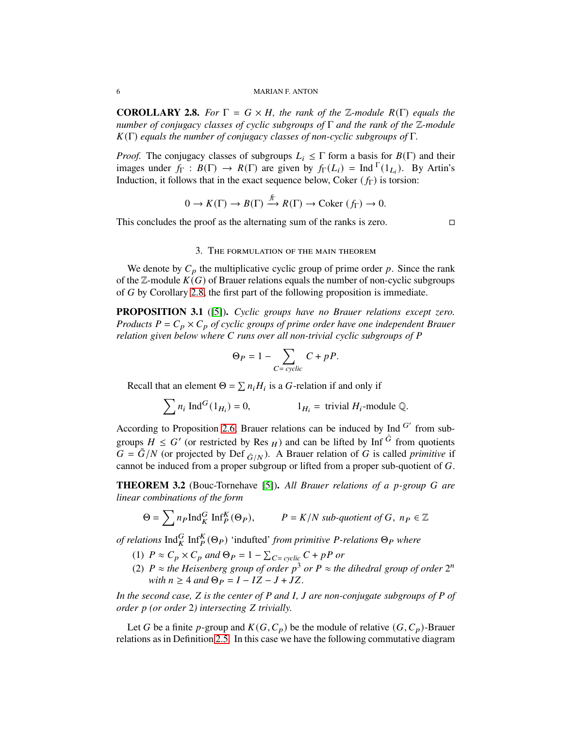#### 6 MARIAN F. ANTON

<span id="page-5-0"></span>**COROLLARY 2.8.** *For*  $\Gamma = G \times H$ *, the rank of the* Z*-module*  $R(\Gamma)$  *equals the number of conjugacy classes of cyclic subgroups of* Γ *and the rank of the* Z*-module* 𝐾(Γ) *equals the number of conjugacy classes of non-cyclic subgroups of* Γ*.*

*Proof.* The conjugacy classes of subgroups  $L_i \leq \Gamma$  form a basis for  $B(\Gamma)$  and their images under  $f_{\Gamma}: B(\Gamma) \to R(\Gamma)$  are given by  $f_{\Gamma}(L_i) = \text{Ind} \Gamma(1_{L_i})$ . By Artin's Induction, it follows that in the exact sequence below, Coker  $(f_{\Gamma})$  is torsion:

$$
0 \to K(\Gamma) \to B(\Gamma) \xrightarrow{f_{\Gamma}} R(\Gamma) \to \text{Coker}(f_{\Gamma}) \to 0.
$$

This concludes the proof as the alternating sum of the ranks is zero.  $\Box$ 

### 3. The formulation of the main theorem

We denote by  $C_p$  the multiplicative cyclic group of prime order  $p$ . Since the rank of the  $\mathbb{Z}$ -module  $K(G)$  of Brauer relations equals the number of non-cyclic subgroups of  $G$  by Corollary [2.8,](#page-5-0) the first part of the following proposition is immediate.

<span id="page-5-1"></span>**PROPOSITION 3.1** ([\[5\]](#page-16-5))**.** *Cyclic groups have no Brauer relations except zero. Products*  $P = C_p \times C_p$  *of cyclic groups of prime order have one independent Brauer relation given below where* C runs over all non-trivial cyclic subgroups of P

$$
\Theta_P = 1 - \sum_{C = cyclic} C + pP.
$$

Recall that an element  $\Theta = \sum n_i H_i$  is a *G*-relation if and only if

$$
\sum n_i \operatorname{Ind}^G(1_{H_i}) = 0, \qquad 1_{H_i} = \text{trivial } H_i \text{-module } \mathbb{Q}.
$$

According to Proposition [2.6,](#page-4-0) Brauer relations can be induced by Ind  $G'$  from subgroups  $H \leq G'$  (or restricted by Res  $_H$ ) and can be lifted by Inf  $\tilde{G}$  from quotients  $G = \tilde{G}/N$  (or projected by Def  $_{\tilde{G}/N}$ ). A Brauer relation of G is called *primitive* if cannot be induced from a proper subgroup or lifted from a proper sub-quotient of  $G$ .

<span id="page-5-2"></span>**THEOREM 3.2** (Bouc-Tornehave [\[5\]](#page-16-5)). All Brauer relations of a p-group G are *linear combinations of the form*

$$
\Theta = \sum n_P \operatorname{Ind}_K^G \operatorname{Inf}_P^K(\Theta_P), \qquad P = K/N \text{ sub-quotient of } G, \; n_P \in \mathbb{Z}
$$

*of relations*  $\text{Ind}_{K}^{G} \text{Inf}_{P}^{K}(\Theta_{P})$  'indufted' *from primitive P-relations*  $\Theta_{P}$  *where* 

- (1)  $P \approx C_p \times C_p$  and  $\Theta_P = 1 \sum_{C=\text{cyclic}} C + pP$  or
- (2)  $P \approx$  *the Heisenberg group of order*  $p^3$  *or*  $P \approx$  *the dihedral group of order*  $2^n$ *with*  $n \geq 4$  *and*  $\Theta_P = I - IZ - J + JZ$ .

*In the second case, Z is the center of P* and *I*, *J* are non-conjugate subgroups of *P* of *order p* (*or order* 2*)* intersecting *Z* trivially.

Let G be a finite p-group and  $K(G, C_p)$  be the module of relative  $(G, C_p)$ -Brauer relations as in Definition [2.5.](#page-3-1) In this case we have the following commutative diagram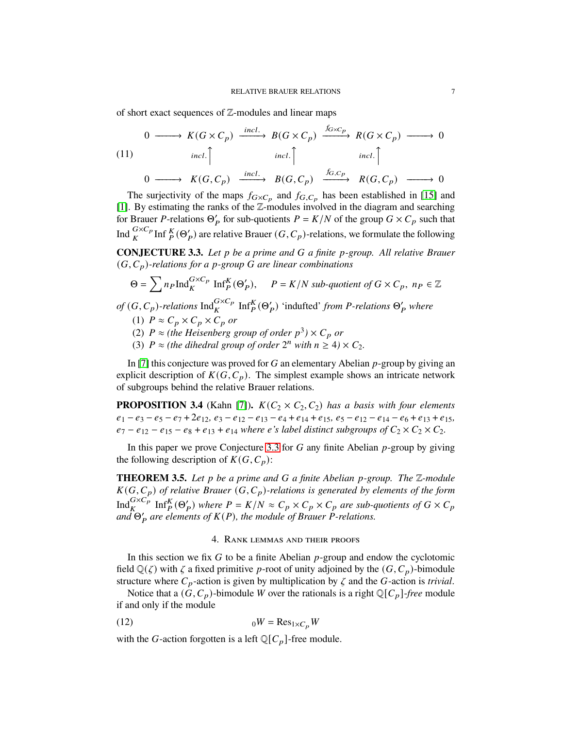of short exact sequences of  $\mathbb{Z}$ -modules and linear maps

<span id="page-6-1"></span>
$$
\begin{array}{ccccccccc}\n & 0 & \xrightarrow{\text{incl.}} & K(G \times C_p) & \xrightarrow{\text{incl.}} & B(G \times C_p) & \xrightarrow{\text{foxC}_p} & R(G \times C_p) & \xrightarrow{\text{incl.}} & \\
& & \text{incl.} & & \text{incl.} & \\
& & & & \text{incl.} & \\
& & & & & \text{incl.} & \\
& & & & & & \\
& & & & & & \\
& & & & & & \\
& & & & & & & \\
& & & & & & & \\
& & & & & & & \\
& & & & & & & \\
& & & & & & & & \\
& & & & & & & & \\
& & & & & & & & \\
& & & & & & & & & \\
& & & & & & & & & \\
& & & & & & & & & \\
& & & & & & & & & & \\
& & & & & & & & & & \\
& & & & & & & & & & & \\
& & & & & & & & & & & \\
& & & & & & & & & & & \\
& & & & & & & & & & & \\
& & & & & & & & & & & \\
& & & & & & & & & & & & \\
& & & &
$$

The surjectivity of the maps  $f_{G \times C_p}$  and  $f_{G,C_p}$  has been established in [\[15\]](#page-16-4) and [\[1\]](#page-15-1). By estimating the ranks of the Z-modules involved in the diagram and searching for Brauer P-relations  $\Theta'_P$  for sub-quotients  $P = K/N$  of the group  $G \times C_p$  such that Ind  $_K^{G \times C_p}$  Inf  $_K^K(\Theta'_P)$  are relative Brauer  $(G, C_p)$ -relations, we formulate the following

<span id="page-6-0"></span>**CONJECTURE 3.3.** Let p be a prime and G a finite p-group. All relative Brauer  $(G, C_p)$ -relations for a p-group G are linear combinations

$$
\Theta = \sum n_P \operatorname{Ind}_{K}^{G \times C_P} \operatorname{Inf}_{P}^{K}(\Theta_P'), \quad P = K/N \text{ sub-quotient of } G \times C_p, \ n_P \in \mathbb{Z}
$$

 $of$   $(G, C_p)$ -relations  $Ind_K^{G \times C_p}$  Inf $_P^K(\Theta'_P)$  'indufted' *from P*-relations  $\Theta'_P$  where

$$
(1) \ P \approx C_p \times C_p \times C_p \text{ or }
$$

- (2)  $P \approx$  (the Heisenberg group of order  $p^3$ )  $\times$   $C_p$  or
- (3)  $P \approx$  (the dihedral group of order  $2^n$  with  $n \geq 4$ )  $\times C_2$ .

In [\[7\]](#page-16-6) this conjecture was proved for  $G$  an elementary Abelian  $p$ -group by giving an explicit description of  $K(G, C_n)$ . The simplest example shows an intricate network of subgroups behind the relative Brauer relations.

<span id="page-6-3"></span>**PROPOSITION 3.4** (Kahn [\[7\]](#page-16-6)).  $K(C_2 \times C_2, C_2)$  *has a basis with four elements*  $e_1 - e_3 - e_5 - e_7 + 2e_{12}$ ,  $e_3 - e_{12} - e_{13} - e_4 + e_{14} + e_{15}$ ,  $e_5 - e_{12} - e_{14} - e_6 + e_{13} + e_{15}$ ,  $e_7 - e_{12} - e_{15} - e_8 + e_{13} + e_{14}$  *where e's label distinct subgroups of*  $C_2 \times C_2 \times C_2$ .

In this paper we prove Conjecture [3.3](#page-6-0) for  $G$  any finite Abelian  $p$ -group by giving the following description of  $K(G, C_p)$ :

<span id="page-6-2"></span>**THEOREM 3.5.** Let p be a prime and G a finite Abelian p-group. The Z-module  $K(G, C_p)$  of relative Brauer  $(G, C_p)$ -relations is generated by elements of the form  $\text{Ind}_{K}^{G \times C_{p}} \text{Inf}_{P}^{K}(\Theta'_{P})$  where  $P = K/N \approx C_{p} \times C_{p} \times C_{p}$  are sub-quotients of  $G \times C_{p}$  $\overline{\omega}$   $\partial'$ <sup>*a*</sup> *are elements of*  $K(P)$ *, the module of Brauer P-relations.* 

## 4. Rank lemmas and their proofs

In this section we fix  $G$  to be a finite Abelian  $p$ -group and endow the cyclotomic field  $\mathbb{Q}(\zeta)$  with  $\zeta$  a fixed primitive p-root of unity adjoined by the  $(G, C_p)$ -bimodule structure where  $C_p$ -action is given by multiplication by  $\zeta$  and the G-action is *trivial*.

Notice that a  $(G, C_p)$ -bimodule W over the rationals is a right  $\mathbb{Q}[C_p]$ -free module if and only if the module

$$
(12) \t\t\t 0W = \text{Res}_{1 \times C_p} W
$$

with the G-action forgotten is a left  $\mathbb{Q}[C_p]$ -free module.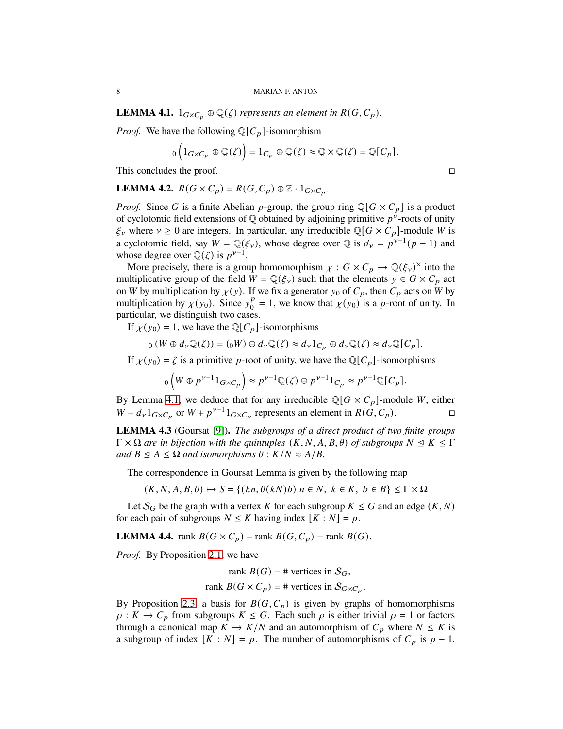<span id="page-7-0"></span>**LEMMA 4.1.**  $1_{G \times C_p} \oplus \mathbb{Q}(\zeta)$  represents an element in  $R(G, C_p)$ .

*Proof.* We have the following  $\mathbb{Q}[C_p]$ -isomorphism

$$
{}_0 \left( 1_{G \times C_p} \oplus \mathbb{Q}(\zeta) \right) = 1_{C_p} \oplus \mathbb{Q}(\zeta) \approx \mathbb{Q} \times \mathbb{Q}(\zeta) = \mathbb{Q}[C_p].
$$

This concludes the proof.

<span id="page-7-2"></span>**LEMMA 4.2.**  $R(G \times C_p) = R(G, C_p) \oplus \mathbb{Z} \cdot 1_{G \times C_p}$ .

*Proof.* Since G is a finite Abelian p-group, the group ring  $\mathbb{Q}[G \times C_p]$  is a product of cyclotomic field extensions of  $\mathbb Q$  obtained by adjoining primitive  $p^{\dot{\nu}}$ -roots of unity  $\xi_{\nu}$  where  $\nu \geq 0$  are integers. In particular, any irreducible  $\mathbb{Q}[G \times C_p]$ -module W is a cyclotomic field, say  $W = \mathbb{Q}(\xi_\nu)$ , whose degree over  $\mathbb{Q}$  is  $d_\nu = p^{\nu-1}(p-1)$  and whose degree over  $\mathbb{Q}(\zeta)$  is  $p^{\gamma-1}$ .

More precisely, there is a group homomorphism  $\chi : G \times C_p \to \mathbb{Q}(\xi_{\nu})^{\times}$  into the multiplicative group of the field  $W = \mathbb{Q}(\xi_v)$  such that the elements  $y \in G \times C_p$  act on *W* by multiplication by  $\chi(y)$ . If we fix a generator  $y_0$  of  $C_p$ , then  $C_p$  acts on *W* by multiplication by  $\chi(y_0)$ . Since  $y_0^p$  $_{0}^{p} = 1$ , we know that  $\chi(y_0)$  is a *p*-root of unity. In particular, we distinguish two cases.

If  $\chi(y_0) = 1$ , we have the Q[C<sub>n</sub>]-isomorphisms

$$
{}_0(W \oplus d_{\nu}\mathbb{Q}(\zeta)) = ({}_0W) \oplus d_{\nu}\mathbb{Q}(\zeta) \approx d_{\nu}1_{C_p} \oplus d_{\nu}\mathbb{Q}(\zeta) \approx d_{\nu}\mathbb{Q}[C_p].
$$

If  $\chi(y_0) = \zeta$  is a primitive p-root of unity, we have the Q[C<sub>p</sub>]-isomorphisms

$$
_{0}\left( W\oplus p^{\nu-1}1_{G\times C_{p}}\right) \approx p^{\nu-1}\mathbb{Q}(\zeta)\oplus p^{\nu-1}1_{C_{p}}\approx p^{\nu-1}\mathbb{Q}[C_{p}].
$$

By Lemma [4.1,](#page-7-0) we deduce that for any irreducible  $\mathbb{Q}[G \times C_p]$ -module *W*, either  $W - d_v 1_{G \times C_p}$  or  $W + p^{\nu-1} 1_{G \times C_p}$  represents an element in  $R(G, C_p)$ .

<span id="page-7-1"></span>**LEMMA 4.3** (Goursat [\[9\]](#page-16-9))**.** *The subgroups of a direct product of two finite groups*  $\Gamma \times \Omega$  *are in bijection with the quintuples*  $(K, N, A, B, \theta)$  *of subgroups*  $N \leq K \leq \Gamma$ *and*  $B \le A \le \Omega$  *and isomorphisms*  $\theta : K/N \approx A/B$ .

The correspondence in Goursat Lemma is given by the following map

 $(K, N, A, B, \theta) \mapsto S = \{(kn, \theta(kN)b) | n \in N, k \in K, b \in B\} \leq \Gamma \times \Omega$ 

Let  $S_G$  be the graph with a vertex K for each subgroup  $K \leq G$  and an edge  $(K, N)$ for each pair of subgroups  $N \leq K$  having index  $[K : N] = p$ .

<span id="page-7-3"></span>**LEMMA 4.4.** rank  $B(G \times C_p)$  – rank  $B(G, C_p)$  = rank  $B(G)$ .

*Proof.* By Proposition [2.1,](#page-1-1) we have

rank  $B(G) = #$  vertices in  $S_G$ , rank  $B(G \times C_p) = \#$  vertices in  $S_{G \times C_p}$ .

By Proposition [2.3,](#page-2-1) a basis for  $B(G, C_p)$  is given by graphs of homomorphisms  $\rho: K \to C_p$  from subgroups  $K \leq G$ . Each such  $\rho$  is either trivial  $\rho = 1$  or factors through a canonical map  $K \to K/N$  and an automorphism of  $C_p$  where  $N \leq K$  is a subgroup of index  $[K : N] = p$ . The number of automorphisms of  $C_p$  is  $p - 1$ .

$$
\Box
$$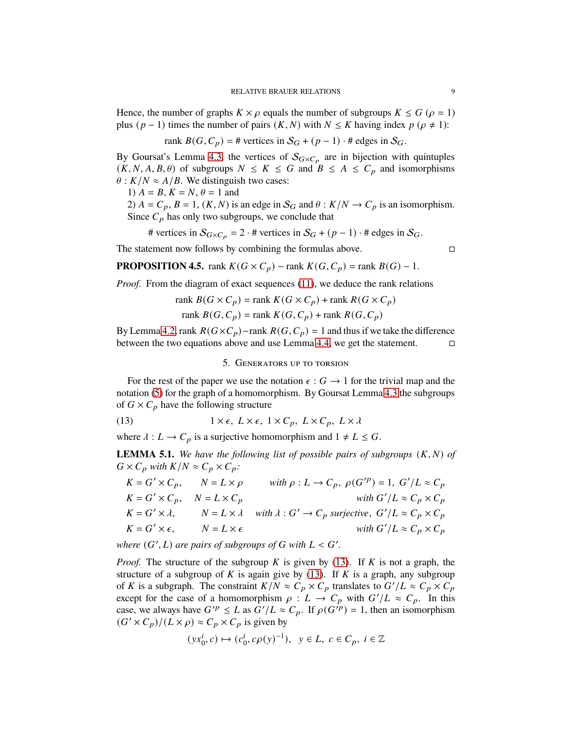Hence, the number of graphs  $K \times \rho$  equals the number of subgroups  $K \leq G$  ( $\rho = 1$ ) plus ( $p - 1$ ) times the number of pairs ( $K, N$ ) with  $N \leq K$  having index  $p$  ( $\rho \neq 1$ ):

rank 
$$
B(G, C_p) = \#
$$
 vertices in  $S_G + (p-1) \cdot \#$  edges in  $S_G$ .

By Goursat's Lemma [4.3,](#page-7-1) the vertices of  $S_{G \times C_p}$  are in bijection with quintuples  $(K, N, A, B, \theta)$  of subgroups  $N \leq K \leq G$  and  $B \leq A \leq C_p$  and isomorphisms  $\theta$  :  $K/N \approx A/B$ . We distinguish two cases:

1) 
$$
A = B
$$
,  $K = N$ ,  $\theta = 1$  and

2)  $A = C_p$ ,  $B = 1$ ,  $(K, N)$  is an edge in  $S_G$  and  $\theta : K/N \to C_p$  is an isomorphism. Since  $C_p$  has only two subgroups, we conclude that

# vertices in 
$$
S_{G \times C_p} = 2 \cdot \text{# vertices in } S_G + (p-1) \cdot \text{# edges in } S_G
$$
.

The statement now follows by combining the formulas above.  $\Box$ 

<span id="page-8-2"></span>**PROPOSITION 4.5.** rank  $K(G \times C_p)$  – rank  $K(G, C_p)$  = rank  $B(G)$  – 1.

*Proof.* From the diagram of exact sequences [\(11\)](#page-6-1), we deduce the rank relations

$$
\text{rank } B(G \times C_p) = \text{rank } K(G \times C_p) + \text{rank } R(G \times C_p)
$$
\n
$$
\text{rank } B(G, C_p) = \text{rank } K(G, C_p) + \text{rank } R(G, C_p)
$$

By Lemma [4.2,](#page-7-2) rank  $R(G \times C_p)$ –rank  $R(G, C_p) = 1$  and thus if we take the difference between the two equations above and use Lemma [4.4,](#page-7-3) we get the statement.  $\Box$ 

## 5. Generators up to torsion

For the rest of the paper we use the notation  $\epsilon: G \to 1$  for the trivial map and the notation [\(5\)](#page-2-2) for the graph of a homomorphism. By Goursat Lemma [4.3](#page-7-1) the subgroups of  $G \times C_p$  have the following structure

<span id="page-8-0"></span>(13)  $1 \times \epsilon, L \times \epsilon, 1 \times C_p, L \times C_p, L \times \lambda$ 

where  $\lambda : L \to C_p$  is a surjective homomorphism and  $1 \neq L \leq G$ .

<span id="page-8-1"></span>**LEMMA 5.1.** We have the following list of possible pairs of subgroups  $(K, N)$  of  $G \times C_p$  with  $K/N \approx C_p \times C_p$ .

$$
K = G' \times C_p, \qquad N = L \times \rho \qquad with \ \rho : L \to C_p, \ \rho(G'^p) = 1, \ G'/L \approx C_p
$$
  
\n
$$
K = G' \times C_p, \qquad N = L \times C_p
$$
  
\n
$$
K = G' \times \lambda, \qquad N = L \times \lambda \qquad with \ \lambda : G' \to C_p \ \text{surjective, } G'/L \approx C_p \times C_p
$$
  
\n
$$
K = G' \times \epsilon, \qquad N = L \times \epsilon
$$
  
\nwith  $G'/L \approx C_p \times C_p$   
\nwith  $G'/L \approx C_p \times C_p$ 

where  $(G', L)$  are pairs of subgroups of  $G$  with  $L < G'$ .

*Proof.* The structure of the subgroup  $K$  is given by [\(13\)](#page-8-0). If  $K$  is not a graph, the structure of a subgroup of K is again give by  $(13)$ . If K is a graph, any subgroup of K is a subgraph. The constraint  $K/N \approx C_p \times C_p$  translates to  $G'/L \approx C_p \times C_p$ except for the case of a homomorphism  $\rho: L \to C_p$  with  $G'/L \approx C_p$ . In this case, we always have  $G'^p \leq L$  as  $G'/L \approx C_p$ . If  $\rho(G^{ip}) = 1$ , then an isomorphism  $(G' \times C_p)/(L \times \rho) \approx C_p \times C_p$  is given by

$$
(yx_0^i, c) \mapsto (c_0^i, c\rho(y)^{-1}), \ y \in L, \ c \in C_p, \ i \in \mathbb{Z}
$$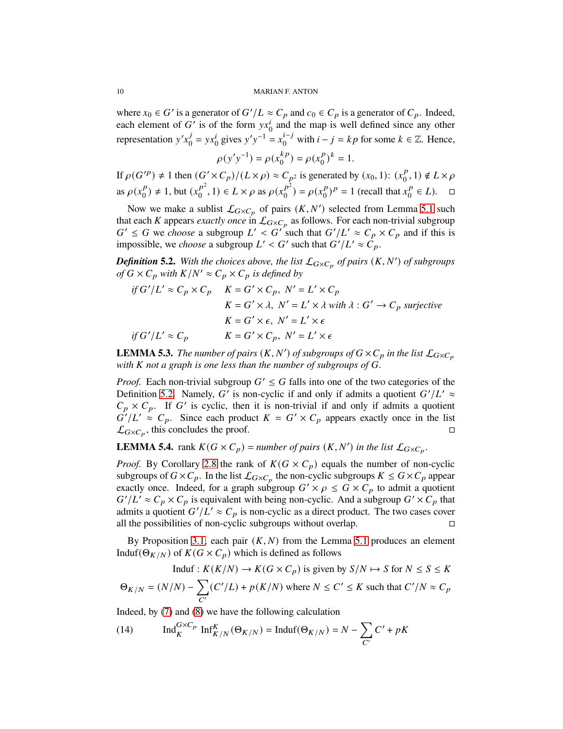where  $x_0 \in G'$  is a generator of  $G'/L \approx C_p$  and  $c_0 \in C_p$  is a generator of  $C_p$ . Indeed, each element of G' is of the form  $yx_0^i$  and the map is well defined since any other representation  $y'x_0^j$  $y' = yx_0^i$  gives  $y'y^{-1} = x_0^{i-j}$  $_{0}^{i-j}$  with  $i-j = kp$  for some  $k \in \mathbb{Z}$ . Hence,

> $\rho(y'y^{-1}) = \rho(x_0^{kp})$  $\binom{kp}{0} = \rho(x_0^p)$  $_{0}^{p})^{k}=1.$

If  $\rho(G'^p) \neq 1$  then  $(G' \times C_p)/(L \times \rho) \approx C_{p^2}$  is generated by  $(x_0, 1)$ :  $(x_0^p)$  $_0^p$ , 1)  $\notin L \times \rho$ as  $\rho(x_0^p)$  $\binom{p}{0} \neq 1$ , but  $(x_0^{p^2})$  $p^2 \choose 0, 1 \in L \times \rho \text{ as } \rho(x_0^{p^2})$  $\binom{p^2}{0} = \rho(x_0^p)$  $\binom{p}{0}$  = 1 (recall that  $x_0^p$  $_0^p \in L$ ).  $\Box$ 

Now we make a sublist  $\mathcal{L}_{G \times C_p}$  of pairs  $(K, N')$  selected from Lemma [5.1](#page-8-1) such that each K appears *exactly once* in  $\mathcal{L}_{G \times C_p}$  as follows. For each non-trivial subgroup  $G' \leq G$  we *choose* a subgroup  $L' < G'$  such that  $G'/L' \approx C_p \times C_p$  and if this is impossible, we *choose* a subgroup  $L' < G'$  such that  $G'/L' \approx \hat{C}_p$ .

<span id="page-9-0"></span>**Definition 5.2.** With the choices above, the list  $\mathcal{L}_{G \times C_p}$  of pairs  $(K, N')$  of subgroups *of*  $G \times C_p$  *with*  $K/N' \approx C_p \times C_p$  *is defined by* 

$$
if G'/L' \approx C_p \times C_p \qquad K = G' \times C_p, \ N' = L' \times C_p
$$
  

$$
K = G' \times \lambda, \ N' = L' \times \lambda \text{ with } \lambda : G' \to C_p \text{ surjective}
$$
  

$$
K = G' \times \epsilon, \ N' = L' \times \epsilon
$$
  

$$
if G'/L' \approx C_p \qquad K = G' \times C_p, \ N' = L' \times \epsilon
$$

<span id="page-9-1"></span>**LEMMA 5.3.** *The number of pairs*  $(K, N')$  *of subgroups of*  $G \times C_p$  *in the list*  $\mathcal{L}_{G \times C_p}$ *with K* not a graph is one less than the number of subgroups of G.

*Proof.* Each non-trivial subgroup  $G' \leq G$  falls into one of the two categories of the Definition [5.2.](#page-9-0) Namely, G' is non-cyclic if and only if admits a quotient  $G'/L' \approx$  $C_p \times C_p$ . If G' is cyclic, then it is non-trivial if and only if admits a quotient  $G'/L' \approx C_p$ . Since each product  $K = G' \times C_p$  appears exactly once in the list  $\mathcal{L}_{G \times C_p}$ , this concludes the proof.

<span id="page-9-2"></span>**LEMMA 5.4.** rank  $K(G \times C_p) =$  *number of pairs*  $(K, N')$  *in the list*  $\mathcal{L}_{G \times C_p}$ *.* 

*Proof.* By Corollary [2.8](#page-5-0) the rank of  $K(G \times C_p)$  equals the number of non-cyclic subgroups of  $G \times C_p$ . In the list  $\mathcal{L}_{G \times C_p}$  the non-cyclic subgroups  $K \leq G \times C_p$  appear exactly once. Indeed, for a graph subgroup  $G' \times \rho \leq G \times C_p$  to admit a quotient  $G'/L' \approx C_p \times C_p$  is equivalent with being non-cyclic. And a subgroup  $G' \times C_p$  that admits a quotient  $G'/L' \approx C_p$  is non-cyclic as a direct product. The two cases cover all the possibilities of non-cyclic subgroups without overlap.  $\Box$ 

By Proposition [3.1,](#page-5-1) each pair  $(K, N)$  from the Lemma [5.1](#page-8-1) produces an element Induf( $\Theta_{K/N}$ ) of  $K(G \times C_p)$  which is defined as follows

$$
\text{Induf}: K(K/N) \to K(G \times C_p) \text{ is given by } S/N \mapsto S \text{ for } N \le S \le K
$$
\n
$$
\Theta_{K/N} = (N/N) - \sum_{C'} (C'/L) + p(K/N) \text{ where } N \le C' \le K \text{ such that } C'/N \approx C_p
$$

Indeed, by [\(7\)](#page-3-0) and [\(8\)](#page-3-2) we have the following calculation

<span id="page-9-3"></span>(14) 
$$
\operatorname{Ind}_{K}^{G \times C_{p}} \operatorname{Inf}_{K/N}^{K}(\Theta_{K/N}) = \operatorname{Induf}(\Theta_{K/N}) = N - \sum_{C'} C' + pK
$$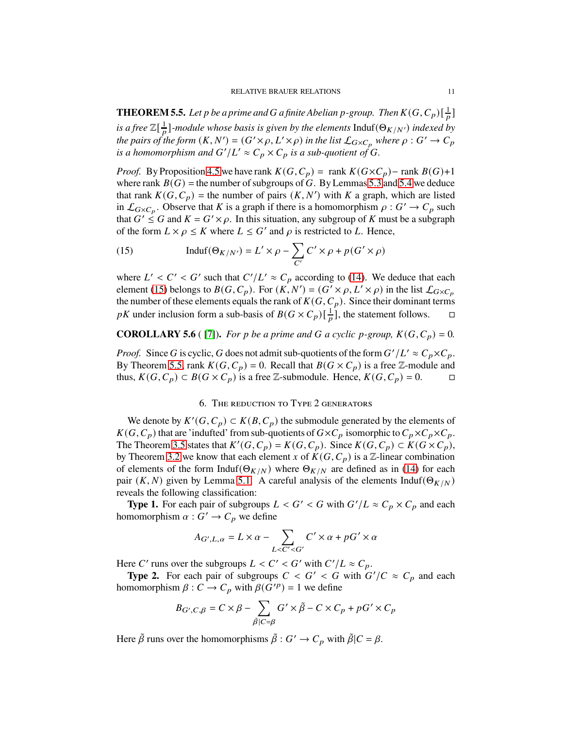<span id="page-10-1"></span>**THEOREM 5.5.** Let  $p$  be a prime and  $G$  a finite Abelian  $p$ -group. Then  $K(G,C_p)[\frac{1}{p}]$ *is a free*  $\mathbb{Z}[\frac{1}{p}]$ -module whose basis is given by the elements  $\text{Induf}(\Theta_{K/N'})$  indexed by *the pairs of the form*  $(K, N') = (G' \times \rho, L' \times \rho)$  *in the list*  $\mathcal{L}_{G \times C_p}$  *where*  $\rho: G' \to C_p$ is a homomorphism and  $G'/L' \approx C_p \times C_p$  is a sub-quotient of  $G$ .

*Proof.* By Proposition [4.5](#page-8-2) we have rank  $K(G, C_p) = \text{rank } K(G \times C_p) - \text{rank } B(G) + 1$ where rank  $B(G)$  = the number of subgroups of G. By Lemmas [5.3](#page-9-1) and [5.4](#page-9-2) we deduce that rank  $K(G, C_p)$  = the number of pairs  $(K, N')$  with K a graph, which are listed in  $\mathcal{L}_{G \times C_p}$ . Observe that K is a graph if there is a homomorphism  $\rho : G' \to C_p$  such that  $G' \leq G$  and  $K = G' \times \rho$ . In this situation, any subgroup of K must be a subgraph of the form  $L \times \rho \leq K$  where  $L \leq G'$  and  $\rho$  is restricted to L. Hence,

<span id="page-10-0"></span>(15) 
$$
\text{Induf}(\Theta_{K/N'}) = L' \times \rho - \sum_{C'} C' \times \rho + p(G' \times \rho)
$$

where  $L' < C' < G'$  such that  $C'/L' \approx C_p$  according to [\(14\)](#page-9-3). We deduce that each element [\(15\)](#page-10-0) belongs to  $B(G, C_p)$ . For  $(K, N') = (G' \times \rho, L' \times \rho)$  in the list  $\mathcal{L}_{G \times C_p}$ the number of these elements equals the rank of  $K(G, C_p)$ . Since their dominant terms pK under inclusion form a sub-basis of  $B(G \times C_p)[\frac{1}{p}]$ , the statement follows.  $\square$ 

# **COROLLARY 5.6** ( [\[7\]](#page-16-6)). *For p be a prime and* G *a cyclic p-group,*  $K(G, C_p) = 0$ .

*Proof.* Since G is cyclic, G does not admit sub-quotients of the form  $G'/L' \approx C_p \times C_p$ . By Theorem [5.5,](#page-10-1) rank  $K(G, C_p) = 0$ . Recall that  $B(G \times C_p)$  is a free Z-module and thus,  $K(G, C_p) \subset B(G \times C_p)$  is a free Z-submodule. Hence,  $K(G, C_p) = 0$ .

### 6. The reduction to Type 2 generators

We denote by  $K'(G, C_p) \subset K(B, C_p)$  the submodule generated by the elements of  $K(G, C_p)$  that are 'indufted' from sub-quotients of  $G \times C_p$  isomorphic to  $C_p \times C_p \times C_p$ . The Theorem [3.5](#page-6-2) states that  $K'(G, C_p) = K(G, C_p)$ . Since  $K(G, C_p) \subset K(G \times C_p)$ , by Theorem [3.2](#page-5-2) we know that each element x of  $K(G, C_p)$  is a Z-linear combination of elements of the form Induf( $\Theta_{K/N}$ ) where  $\Theta_{K/N}$  are defined as in [\(14\)](#page-9-3) for each pair  $(K, N)$  given by Lemma [5.1.](#page-8-1) A careful analysis of the elements Induf( $\Theta_{K/N}$ ) reveals the following classification:

**Type 1.** For each pair of subgroups  $L < G' < G$  with  $G'/L \approx C_p \times C_p$  and each homomorphism  $\alpha: G' \to C_p$  we define

$$
A_{G',L,\alpha}=L\times\alpha-\sum_{L
$$

Here C' runs over the subgroups  $L < C' < G'$  with  $C'/L \approx C_p$ .

**Type 2.** For each pair of subgroups  $C < G' < G$  with  $G'/C \approx C_p$  and each homomorphism  $\beta: C \to C_p$  with  $\beta(G'^p) = 1$  we define

$$
B_{G',C,\beta} = C \times \beta - \sum_{\tilde{\beta}|C=\beta} G' \times \tilde{\beta} - C \times C_p + pG' \times C_p
$$

Here  $\tilde{\beta}$  runs over the homomorphisms  $\tilde{\beta}: G' \to C_p$  with  $\tilde{\beta}|C = \beta$ .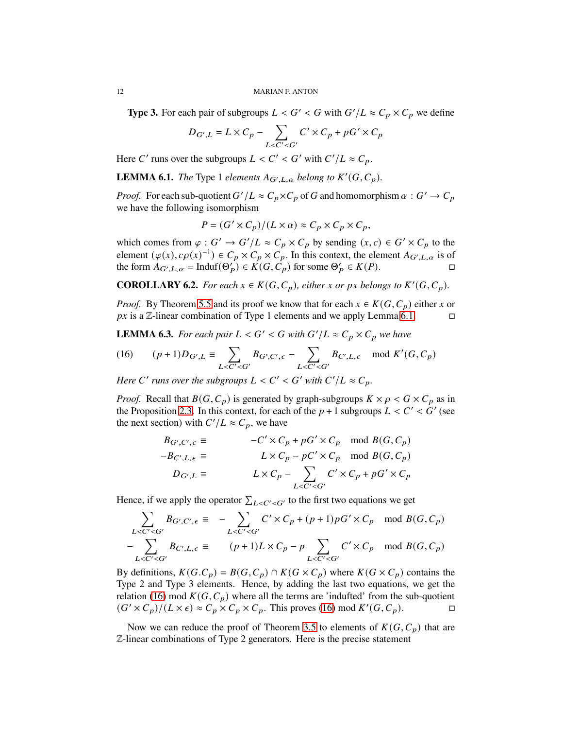**Type 3.** For each pair of subgroups  $L < G' < G$  with  $G'/L \approx C_p \times C_p$  we define

$$
D_{G',L} = L \times C_p - \sum_{L \le C' \le G'} C' \times C_p + pG' \times C_p
$$

Here C' runs over the subgroups  $L < C' < G'$  with  $C'/L \approx C_p$ .

<span id="page-11-0"></span>**LEMMA 6.1.** *The* Type 1 *elements*  $A_{G',L,\alpha}$  *belong to*  $K'(G, C_p)$ *.* 

*Proof.* For each sub-quotient  $G'/L \approx C_p \times C_p$  of G and homomorphism  $\alpha : G' \to C_p$ we have the following isomorphism

$$
P = (G' \times C_p)/(L \times \alpha) \approx C_p \times C_p \times C_p,
$$

which comes from  $\varphi : G' \to G'/L \approx C_p \times C_p$  by sending  $(x, c) \in G' \times C_p$  to the element  $(\varphi(x), c\rho(x)^{-1}) \in C_p \times C_p \times C_p$ . In this context, the element  $A_{G',L,\alpha}$  is of the form  $A_{G',L,\alpha} = \text{Induf}(\Theta_P') \in K(G, C_p)$  for some  $\Theta_P' \in K(P)$ .

<span id="page-11-3"></span>**COROLLARY 6.2.** *For each*  $x \in K(G, C_p)$ *, either*  $x$  *or*  $px$  *belongs to*  $K'(G, C_p)$ *.* 

*Proof.* By Theorem [5.5](#page-10-1) and its proof we know that for each  $x \in K(G, C_p)$  either x or  $px$  is a  $\mathbb{Z}$ -linear combination of Type 1 elements and we apply Lemma [6.1.](#page-11-0)  $\Box$ 

<span id="page-11-2"></span>**LEMMA 6.3.** For each pair  $L < G' < G$  with  $G'/L \approx C_p \times C_p$  we have

<span id="page-11-1"></span>(16) 
$$
(p+1)D_{G',L} \equiv \sum_{L < C' < G'} B_{G',C',\epsilon} - \sum_{L < C' < G'} B_{C',L,\epsilon} \mod K'(G,C_p)
$$

*Here* C' runs over the subgroups  $L < C' < G'$  with  $C'/L \approx C_p$ .

*Proof.* Recall that  $B(G, C_p)$  is generated by graph-subgroups  $K \times \rho \lt G \lt C_p$  as in the Proposition [2.3.](#page-2-1) In this context, for each of the  $p + 1$  subgroups  $L < C' < G'$  (see the next section) with  $C'/L \approx C_p$ , we have

$$
B_{G',C',\epsilon} \equiv -C' \times C_p + pG' \times C_p \mod B(G,C_p)
$$
  
\n
$$
-B_{C',L,\epsilon} \equiv L \times C_p - pC' \times C_p \mod B(G,C_p)
$$
  
\n
$$
D_{G',L} \equiv L \times C_p - \sum_{L \le C' \le G'} C' \times C_p + pG' \times C_p
$$

Hence, if we apply the operator  $\sum_{L \leq C' \leq G'}$  to the first two equations we get

$$
\sum_{L < C' < G'} B_{G',C',\epsilon} \equiv -\sum_{L < C' < G'} C' \times C_p + (p+1)pG' \times C_p \mod B(G,C_p)
$$
  
- 
$$
\sum_{L < C' < G'} B_{C',L,\epsilon} \equiv (p+1)L \times C_p - p \sum_{L < C' < G'} C' \times C_p \mod B(G,C_p)
$$

By definitions,  $K(G.C_p) = B(G.C_p) \cap K(G \times C_p)$  where  $K(G \times C_p)$  contains the Type 2 and Type 3 elements. Hence, by adding the last two equations, we get the relation [\(16\)](#page-11-1) mod  $K(G, C_p)$  where all the terms are 'indufted' from the sub-quotient  $(G' \times C_p)/(L \times \epsilon) \approx C_p \times C_p \times C_p$ . This proves [\(16\)](#page-11-1) mod  $K'(G, C_p)$ .

Now we can reduce the proof of Theorem [3.5](#page-6-2) to elements of  $K(G, C_p)$  that are Z-linear combinations of Type 2 generators. Here is the precise statement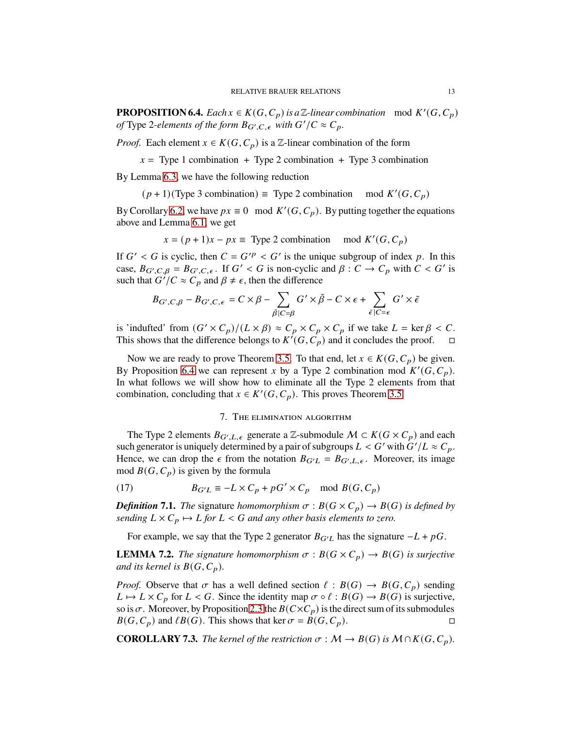<span id="page-12-0"></span>**PROPOSITION 6.4.** *Each*  $x \in K(G, C_p)$  *is a*  $\mathbb{Z}$ *-linear combination* mod  $K'(G, C_p)$ *of* Type 2-elements of the form  $B_{G',C,\epsilon}$  with  $G'/C \approx C_p$ .

*Proof.* Each element  $x \in K(G, C_p)$  is a Z-linear combination of the form

 $x =$ Type 1 combination + Type 2 combination + Type 3 combination

By Lemma [6.3,](#page-11-2) we have the following reduction

 $(p+1)$ (Type 3 combination) = Type 2 combination mod  $K'(G, C_p)$ 

By Corollary [6.2,](#page-11-3) we have  $px \equiv 0 \mod K'(G, C_p)$ . By putting together the equations above and Lemma [6.1,](#page-11-0) we get

 $x = (p + 1)x - px \equiv$  Type 2 combination mod  $K'(G, C_p)$ 

If  $G' < G$  is cyclic, then  $C = G'^p < G'$  is the unique subgroup of index p. In this case,  $B_{G',C,\beta} = B_{G',C,\epsilon}$ . If  $G' < G$  is non-cyclic and  $\beta : C \to C_p$  with  $C < G'$  is such that  $G'/C \approx C_p$  and  $\beta \neq \epsilon$ , then the difference

$$
B_{G',C,\beta} - B_{G',C,\epsilon} = C \times \beta - \sum_{\tilde{\beta}|C=\beta} G' \times \tilde{\beta} - C \times \epsilon + \sum_{\tilde{\epsilon}|C=\epsilon} G' \times \tilde{\epsilon}
$$

is 'indufted' from  $(G' \times C_p)/(L \times \beta) \approx C_p \times C_p \times C_p$  if we take  $L = \ker \beta < C$ . This shows that the difference belongs to  $K^{\prime}(G, C_p)$  and it concludes the proof.  $\square$ 

Now we are ready to prove Theorem [3.5.](#page-6-2) To that end, let  $x \in K(G, C_p)$  be given. By Proposition [6.4](#page-12-0) we can represent x by a Type 2 combination mod  $K'(G, C_p)$ . In what follows we will show how to eliminate all the Type 2 elements from that combination, concluding that  $x \in K'(G, C_p)$ . This proves Theorem [3.5.](#page-6-2)

## 7. The elimination algorithm

The Type 2 elements  $B_{G',L,\epsilon}$  generate a Z-submodule  $\mathcal{M} \subset K(G \times C_p)$  and each such generator is uniquely determined by a pair of subgroups  $L < G'$  with  $G'/L \approx C_p$ . Hence, we can drop the  $\epsilon$  from the notation  $B_{G'L} = B_{G',L,\epsilon}$ . Moreover, its image mod  $B(G, C_p)$  is given by the formula

<span id="page-12-1"></span>(17) 
$$
B_{G'L} \equiv -L \times C_p + pG' \times C_p \mod B(G, C_p)
$$

*Definition* **7.1.** *The* signature *homomorphism*  $\sigma$  :  $B(G \times C_p) \rightarrow B(G)$  *is defined by sending*  $L \times C_p \mapsto L$  *for*  $L < G$  *and any other basis elements to zero.* 

For example, we say that the Type 2 generator  $B_{G'L}$  has the signature  $-L + pG$ .

**LEMMA 7.2.** *The signature homomorphism*  $\sigma$  :  $B(G \times C_p) \rightarrow B(G)$  *is surjective and its kernel is*  $B(G, C_p)$ *.* 

*Proof.* Observe that  $\sigma$  has a well defined section  $\ell : B(G) \to B(G, C_p)$  sending  $L \mapsto L \times C_p$  for  $L < G$ . Since the identity map  $\sigma \circ \ell : B(G) \to B(G)$  is surjective, so is  $\sigma$ . Moreover, by Proposition [2.3](#page-2-1) the  $B(C \times C_p)$  is the direct sum of its submodules  $B(G, C_p)$  and  $\ell B(G)$ . This shows that ker  $\sigma = B(G, C_p)$ .

<span id="page-12-2"></span>**COROLLARY 7.3.** *The kernel of the restriction*  $\sigma : M \to B(G)$  *is*  $M \cap K(G, C_p)$ *.*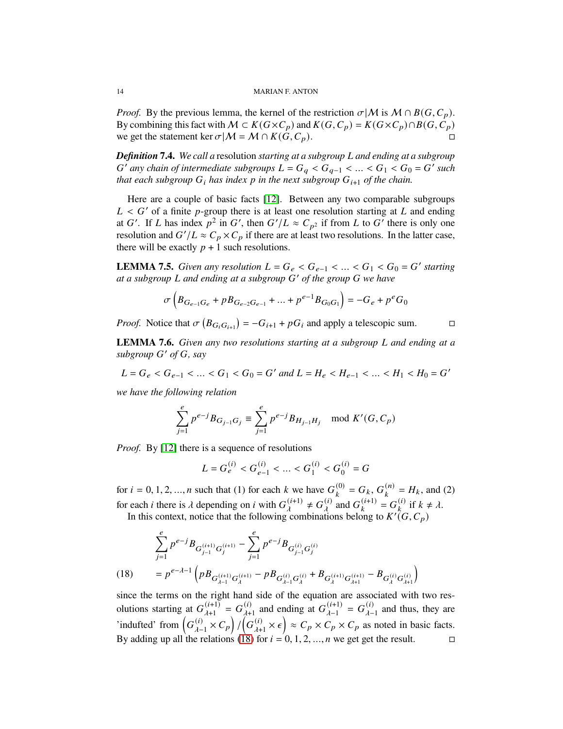*Proof.* By the previous lemma, the kernel of the restriction  $\sigma |M$  is  $M \cap B(G, C_p)$ . By combining this fact with  $M \subset K(G \times C_p)$  and  $K(G, C_p) = K(G \times C_p) \cap B(G, C_p)$ we get the statement ker  $\sigma|M = M \cap K(G, C_p)$ .

*Definition* **7.4.** We call a resolution *starting at a subgroup* L and ending at a subgroup  $G'$  any chain of intermediate subgroups  $L = G_q < G_{q-1} < ... < G_1 < G_0 = G'$  such *that each subgroup*  $G_i$  *has index p in the next subgroup*  $G_{i+1}$  *of the chain.* 

Here are a couple of basic facts [\[12\]](#page-16-10). Between any two comparable subgroups  $L < G'$  of a finite p-group there is at least one resolution starting at L and ending at G'. If L has index  $p^2$  in G', then  $G'/L \approx C_{p^2}$  if from L to G' there is only one resolution and  $G'/L \approx C_p \times C_p$  if there are at least two resolutions. In the latter case, there will be exactly  $p + 1$  such resolutions.

<span id="page-13-1"></span>**LEMMA 7.5.** *Given any resolution*  $L = G_e < G_{e-1} < ... < G_1 < G_0 = G'$  starting *at a subgroup* 𝐿 *and ending at a subgroup* 𝐺 ′ *of the group* 𝐺 *we have*

$$
\sigma\left(B_{G_{e-1}G_e} + p B_{G_{e-2}G_{e-1}} + \dots + p^{e-1} B_{G_0G_1}\right) = -G_e + p^e G_0
$$

*Proof.* Notice that  $\sigma(B_{G_iG_{i+1}}) = -G_{i+1} + pG_i$  and apply a telescopic sum.

<span id="page-13-2"></span>**LEMMA 7.6.** *Given any two resolutions starting at a subgroup* L *and ending at a* subgroup  $G'$  of  $G$ *, say* 

$$
L = G_e < G_{e-1} < \dots < G_1 < G_0 = G' \text{ and } L = H_e < H_{e-1} < \dots < H_1 < H_0 = G'
$$

*we have the following relation*

$$
\sum_{j=1}^{e} p^{e-j} B_{G_{j-1}G_j} \equiv \sum_{j=1}^{e} p^{e-j} B_{H_{j-1}H_j} \mod K'(G, C_p)
$$

*Proof.* By [\[12\]](#page-16-10) there is a sequence of resolutions

$$
L = G_e^{(i)} < G_{e-1}^{(i)} < \dots < G_1^{(i)} < G_0^{(i)} = G
$$

for  $i = 0, 1, 2, ..., n$  such that (1) for each k we have  $G_k^{(0)}$  $S_k^{(0)} = G_k, G_k^{(n)}$  $\binom{n}{k} = H_k$ , and (2) for each *i* there is  $\lambda$  depending on *i* with  $G_j^{(i+1)}$  $_{\lambda}^{(i+1)} \neq G_{\lambda}^{(i)}$  $_{\lambda}^{(i)}$  and  $G_k^{(i+1)}$  $\binom{(i+1)}{k} = G_k^{(i)}$  $\begin{matrix} (1) \\ k \end{matrix}$  if  $k \neq \lambda$ .

In this context, notice that the following combinations belong to  $K^{\prime}(G, C_p)$ 

(18) 
$$
\sum_{j=1}^{e} p^{e-j} B_{G_{j-1}^{(i+1)}} G_j^{(i+1)} - \sum_{j=1}^{e} p^{e-j} B_{G_{j-1}^{(i)}} G_j^{(i)}
$$

$$
= p^{e-\lambda-1} \left( p B_{G_{\lambda-1}^{(i+1)}} G_{\lambda}^{(i+1)} - p B_{G_{\lambda-1}^{(i)}} G_{\lambda}^{(i)} + B_{G_{\lambda}^{(i+1)}} G_{\lambda+1}^{(i+1)} - B_{G_{\lambda}^{(i)}} G_{\lambda+1}^{(i)} \right)
$$

<span id="page-13-0"></span>since the terms on the right hand side of the equation are associated with two resolutions starting at  $G_{\lambda+1}^{(i+1)}$  $\frac{(i+1)}{\lambda+1} = G_{\lambda+1}^{(i)}$  $_{\lambda+1}^{(i)}$  and ending at  $G_{\lambda-1}^{(i+1)}$  $\frac{(i+1)}{\lambda-1} = G_{\lambda-}^{(i)}$  $\frac{u}{\lambda-1}$  and thus, they are 'indufted' from  $\left(G_{\lambda}^{(i)}\right)$  $\binom{(i)}{\lambda-1} \times C_p$  /  $\binom{G(\vec{i})}{\lambda+1}$  $\left(\begin{array}{c} n \\ i \end{array}\right) \approx C_p \times C_p \times C_p$  as noted in basic facts. By adding up all the relations [\(18\)](#page-13-0) for  $i = 0, 1, 2, ..., n$  we get get the result.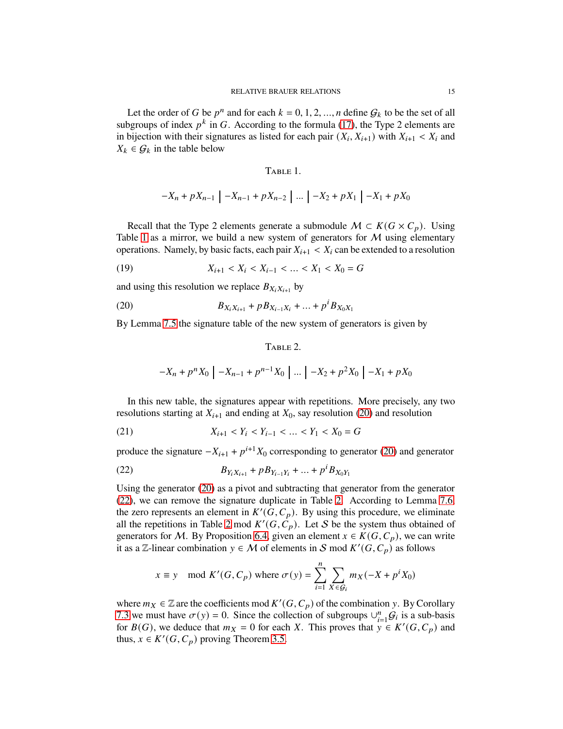Let the order of G be  $p^n$  and for each  $k = 0, 1, 2, ..., n$  define  $\mathcal{G}_k$  to be the set of all subgroups of index  $p^k$  in G. According to the formula [\(17\)](#page-12-1), the Type 2 elements are in bijection with their signatures as listed for each pair  $(X_i, X_{i+1})$  with  $X_{i+1} < X_i$  and  $X_k \in \mathcal{G}_k$  in the table below

### <span id="page-14-0"></span>TABLE 1.

$$
-X_n + pX_{n-1} \mid -X_{n-1} + pX_{n-2} \mid \dots \mid -X_2 + pX_1 \mid -X_1 + pX_0
$$

Recall that the Type 2 elements generate a submodule  $M \subset K(G \times C_p)$ . Using Table [1](#page-14-0) as a mirror, we build a new system of generators for  $M$  using elementary operations. Namely, by basic facts, each pair  $X_{i+1} < X_i$  can be extended to a resolution

(19) 
$$
X_{i+1} < X_i < X_{i-1} < \dots < X_1 < X_0 = G
$$

and using this resolution we replace  $B_{X_i X_{i+1}}$  by

<span id="page-14-1"></span>(20) 
$$
B_{X_i X_{i+1}} + p B_{X_{i-1} X_i} + \dots + p^i B_{X_0 X_1}
$$

By Lemma [7.5](#page-13-1) the signature table of the new system of generators is given by

## <span id="page-14-3"></span>TABLE 2.

$$
-X_n + p^n X_0 \mid -X_{n-1} + p^{n-1} X_0 \mid \dots \mid -X_2 + p^2 X_0 \mid -X_1 + p X_0
$$

In this new table, the signatures appear with repetitions. More precisely, any two resolutions starting at  $X_{i+1}$  and ending at  $X_0$ , say resolution [\(20\)](#page-14-1) and resolution

(21) 
$$
X_{i+1} < Y_i < Y_{i-1} < \dots < Y_1 < X_0 = G
$$

produce the signature  $-X_{i+1} + p^{i+1}X_0$  corresponding to generator [\(20\)](#page-14-1) and generator

<span id="page-14-2"></span>(22) 
$$
B_{Y_i X_{i+1}} + p B_{Y_{i-1} Y_i} + \dots + p^i B_{X_0 Y_1}
$$

Using the generator [\(20\)](#page-14-1) as a pivot and subtracting that generator from the generator [\(22\)](#page-14-2), we can remove the signature duplicate in Table [2.](#page-14-3) According to Lemma [7.6,](#page-13-2) the zero represents an element in  $K'(G, C_p)$ . By using this procedure, we eliminate all the repetitions in Table [2](#page-14-3) mod  $K'(G, \hat{C}_p)$ . Let S be the system thus obtained of generators for M. By Proposition [6.4,](#page-12-0) given an element  $x \in K(G, C_p)$ , we can write it as a Z-linear combination  $y \in M$  of elements in S mod  $K'(G, C_p)$  as follows

$$
x \equiv y \mod K'(G, C_p)
$$
 where  $\sigma(y) = \sum_{i=1}^{n} \sum_{X \in G_i} m_X(-X + p^i X_0)$ 

where  $m_X \in \mathbb{Z}$  are the coefficients mod  $K'(G, C_p)$  of the combination y. By Corollary [7.3](#page-12-2) we must have  $\sigma(y) = 0$ . Since the collection of subgroups  $\bigcup_{i=1}^{n} G_i$  is a sub-basis for  $B(G)$ , we deduce that  $m_X = 0$  for each X. This proves that  $y \in K'(G, C_p)$  and thus,  $x \in K'(G, C_p)$  proving Theorem [3.5.](#page-6-2)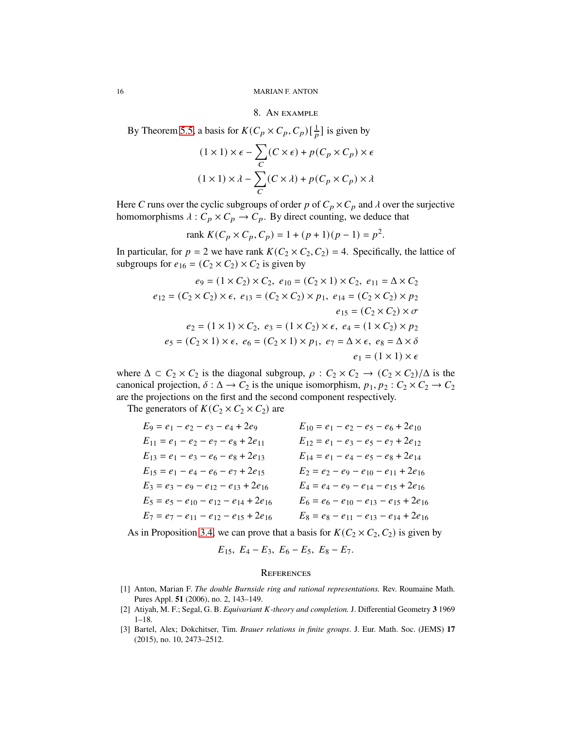#### 8. An example

By Theorem [5.5,](#page-10-1) a basis for  $K(C_p \times C_p, C_p)[\frac{1}{p}]$  is given by

$$
(1 \times 1) \times \epsilon - \sum_{C} (C \times \epsilon) + p(C_p \times C_p) \times \epsilon
$$

$$
(1 \times 1) \times \lambda - \sum_{C} (C \times \lambda) + p(C_p \times C_p) \times \lambda
$$

Here C runs over the cyclic subgroups of order p of  $C_p \times C_p$  and  $\lambda$  over the surjective homomorphisms  $\lambda : C_p \times C_p \to C_p$ . By direct counting, we deduce that

rank 
$$
K(C_p \times C_p, C_p) = 1 + (p+1)(p-1) = p^2
$$
.

In particular, for  $p = 2$  we have rank  $K(C_2 \times C_2, C_2) = 4$ . Specifically, the lattice of subgroups for  $e_{16} = (C_2 \times C_2) \times C_2$  is given by

$$
e_9 = (1 \times C_2) \times C_2, \ e_{10} = (C_2 \times 1) \times C_2, \ e_{11} = \Delta \times C_2
$$
  

$$
e_{12} = (C_2 \times C_2) \times \epsilon, \ e_{13} = (C_2 \times C_2) \times p_1, \ e_{14} = (C_2 \times C_2) \times p_2
$$
  

$$
e_{15} = (C_2 \times C_2) \times \sigma
$$
  

$$
e_2 = (1 \times 1) \times C_2, \ e_3 = (1 \times C_2) \times \epsilon, \ e_4 = (1 \times C_2) \times p_2
$$
  

$$
e_5 = (C_2 \times 1) \times \epsilon, \ e_6 = (C_2 \times 1) \times p_1, \ e_7 = \Delta \times \epsilon, \ e_8 = \Delta \times \delta
$$
  

$$
e_1 = (1 \times 1) \times \epsilon
$$

where  $\Delta \subset C_2 \times C_2$  is the diagonal subgroup,  $\rho : C_2 \times C_2 \to (C_2 \times C_2)/\Delta$  is the canonical projection,  $\delta : \Delta \to C_2$  is the unique isomorphism,  $p_1, p_2 : C_2 \times C_2 \to C_2$ are the projections on the first and the second component respectively.

The generators of  $K(C_2 \times C_2 \times C_2)$  are

| $E_9 = e_1 - e_2 - e_3 - e_4 + 2e_9$             | $E_{10} = e_1 - e_2 - e_5 - e_6 + 2e_{10}$       |
|--------------------------------------------------|--------------------------------------------------|
| $E_{11} = e_1 - e_2 - e_7 - e_8 + 2e_{11}$       | $E_{12} = e_1 - e_3 - e_5 - e_7 + 2e_{12}$       |
| $E_{13} = e_1 - e_3 - e_6 - e_8 + 2e_{13}$       | $E_{14} = e_1 - e_4 - e_5 - e_8 + 2e_{14}$       |
| $E_{15} = e_1 - e_4 - e_6 - e_7 + 2e_{15}$       | $E_2 = e_2 - e_9 - e_{10} - e_{11} + 2e_{16}$    |
| $E_3 = e_3 - e_9 - e_{12} - e_{13} + 2e_{16}$    | $E_4 = e_4 - e_9 - e_{14} - e_{15} + 2e_{16}$    |
| $E_5 = e_5 - e_{10} - e_{12} - e_{14} + 2e_{16}$ | $E_6 = e_6 - e_{10} - e_{13} - e_{15} + 2e_{16}$ |
| $E_7 = e_7 - e_{11} - e_{12} - e_{15} + 2e_{16}$ | $E_8 = e_8 - e_{11} - e_{13} - e_{14} + 2e_{16}$ |

As in Proposition [3.4,](#page-6-3) we can prove that a basis for  $K(C_2 \times C_2, C_2)$  is given by

$$
E_{15}, E_4-E_3, E_6-E_5, E_8-E_7.
$$

#### **REFERENCES**

- <span id="page-15-1"></span>[1] Anton, Marian F. *The double Burnside ring and rational representations.* Rev. Roumaine Math. Pures Appl. **51** (2006), no. 2, 143–149.
- <span id="page-15-2"></span><span id="page-15-0"></span>[2] Atiyah, M. F.; Segal, G. B. *Equivariant K-theory and completion*. J. Differential Geometry 3 1969 1–18.
- [3] Bartel, Alex; Dokchitser, Tim. *Brauer relations in finite groups*. J. Eur. Math. Soc. (JEMS) **17** (2015), no. 10, 2473–2512.